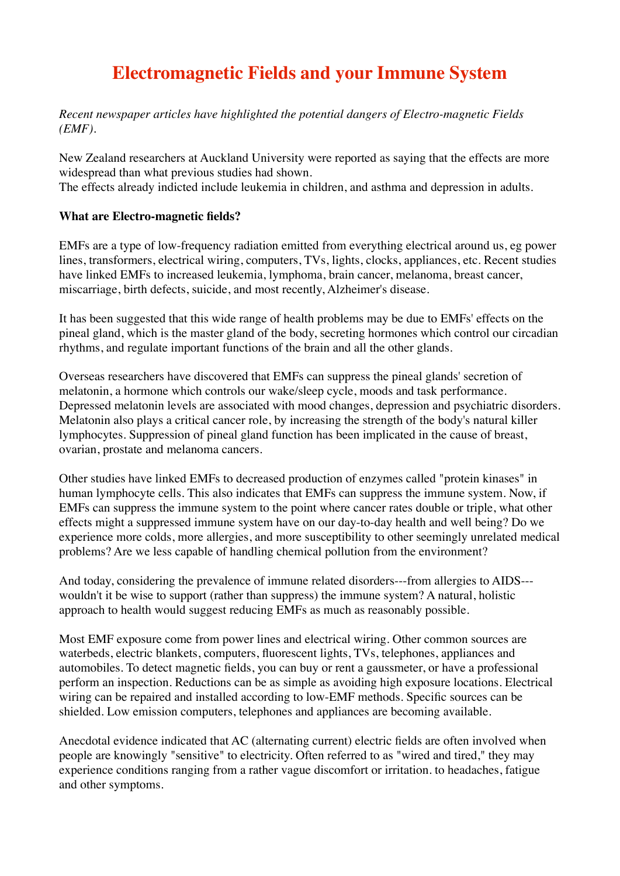## **Electromagnetic Fields and your Immune System**

*Recent newspaper articles have highlighted the potential dangers of Electro-magnetic Fields (EMF).*

New Zealand researchers at Auckland University were reported as saying that the effects are more widespread than what previous studies had shown.

The effects already indicted include leukemia in children, and asthma and depression in adults.

## **What are Electro-magnetic fields?**

EMFs are a type of low-frequency radiation emitted from everything electrical around us, eg power lines, transformers, electrical wiring, computers, TVs, lights, clocks, appliances, etc. Recent studies have linked EMFs to increased leukemia, lymphoma, brain cancer, melanoma, breast cancer, miscarriage, birth defects, suicide, and most recently, Alzheimer's disease.

It has been suggested that this wide range of health problems may be due to EMFs' effects on the pineal gland, which is the master gland of the body, secreting hormones which control our circadian rhythms, and regulate important functions of the brain and all the other glands.

Overseas researchers have discovered that EMFs can suppress the pineal glands' secretion of melatonin, a hormone which controls our wake/sleep cycle, moods and task performance. Depressed melatonin levels are associated with mood changes, depression and psychiatric disorders. Melatonin also plays a critical cancer role, by increasing the strength of the body's natural killer lymphocytes. Suppression of pineal gland function has been implicated in the cause of breast, ovarian, prostate and melanoma cancers.

Other studies have linked EMFs to decreased production of enzymes called "protein kinases" in human lymphocyte cells. This also indicates that EMFs can suppress the immune system. Now, if EMFs can suppress the immune system to the point where cancer rates double or triple, what other effects might a suppressed immune system have on our day-to-day health and well being? Do we experience more colds, more allergies, and more susceptibility to other seemingly unrelated medical problems? Are we less capable of handling chemical pollution from the environment?

And today, considering the prevalence of immune related disorders---from allergies to AIDS-- wouldn't it be wise to support (rather than suppress) the immune system? A natural, holistic approach to health would suggest reducing EMFs as much as reasonably possible.

Most EMF exposure come from power lines and electrical wiring. Other common sources are waterbeds, electric blankets, computers, fluorescent lights, TVs, telephones, appliances and automobiles. To detect magnetic fields, you can buy or rent a gaussmeter, or have a professional perform an inspection. Reductions can be as simple as avoiding high exposure locations. Electrical wiring can be repaired and installed according to low-EMF methods. Specific sources can be shielded. Low emission computers, telephones and appliances are becoming available.

Anecdotal evidence indicated that AC (alternating current) electric fields are often involved when people are knowingly "sensitive" to electricity. Often referred to as "wired and tired," they may experience conditions ranging from a rather vague discomfort or irritation. to headaches, fatigue and other symptoms.